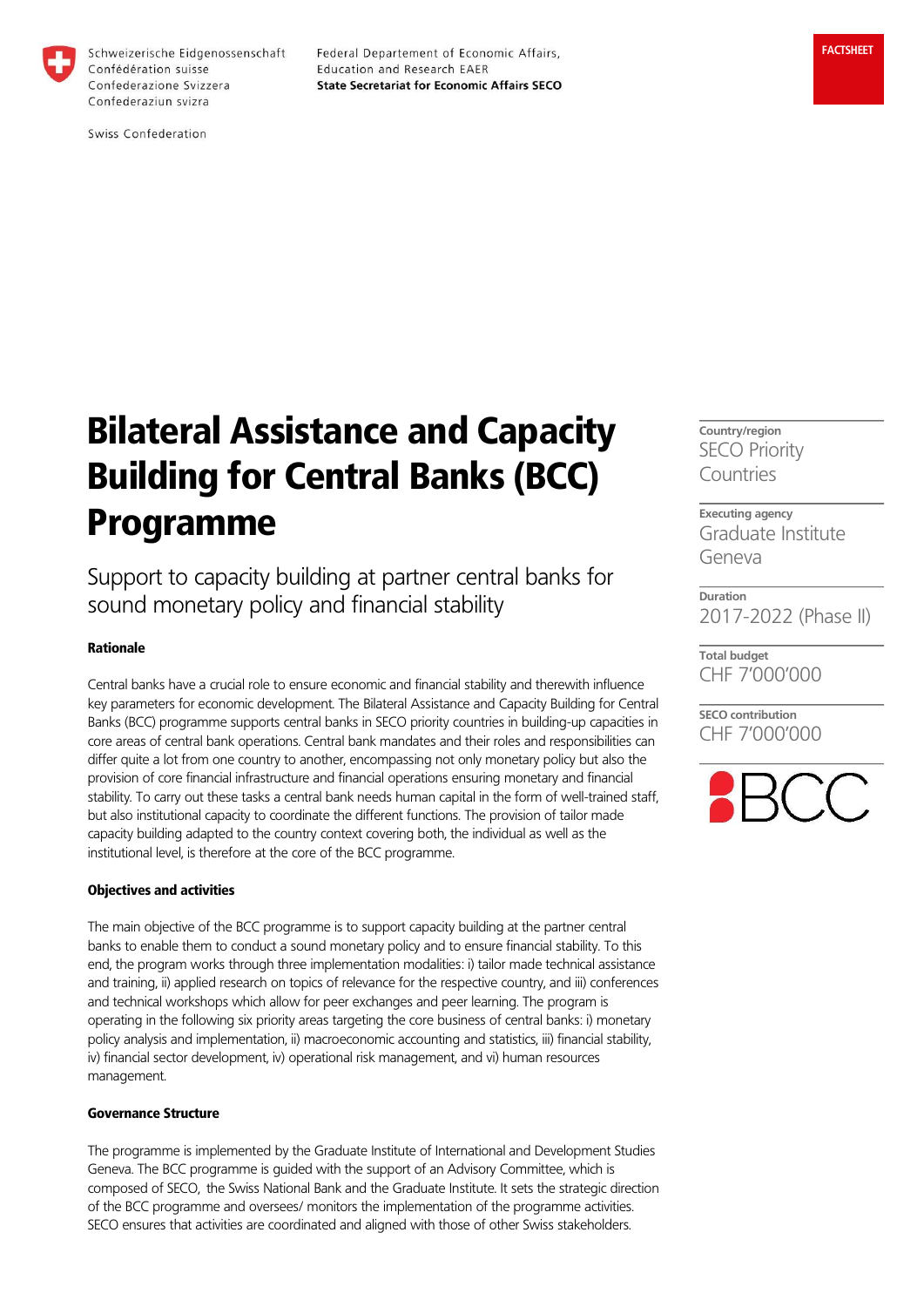

Schweizerische Eidgenossenschaft Confédération suisse Confederazione Svizzera Confederaziun svizra

Federal Departement of Economic Affairs, Education and Research EAER **State Secretariat for Economic Affairs SECO** 

# Bilateral Assistance and Capacity Building for Central Banks (BCC) Programme

Support to capacity building at partner central banks for sound monetary policy and financial stability

#### Rationale

Central banks have a crucial role to ensure economic and financial stability and therewith influence key parameters for economic development. The Bilateral Assistance and Capacity Building for Central Banks (BCC) programme supports central banks in SECO priority countries in building-up capacities in core areas of central bank operations. Central bank mandates and their roles and responsibilities can differ quite a lot from one country to another, encompassing not only monetary policy but also the provision of core financial infrastructure and financial operations ensuring monetary and financial stability. To carry out these tasks a central bank needs human capital in the form of well-trained staff, but also institutional capacity to coordinate the different functions. The provision of tailor made capacity building adapted to the country context covering both, the individual as well as the institutional level, is therefore at the core of the BCC programme.

### Objectives and activities

The main objective of the BCC programme is to support capacity building at the partner central banks to enable them to conduct a sound monetary policy and to ensure financial stability. To this end, the program works through three implementation modalities: i) tailor made technical assistance and training, ii) applied research on topics of relevance for the respective country, and iii) conferences and technical workshops which allow for peer exchanges and peer learning. The program is operating in the following six priority areas targeting the core business of central banks: i) monetary policy analysis and implementation, ii) macroeconomic accounting and statistics, iii) financial stability, iv) financial sector development, iv) operational risk management, and vi) human resources management.

#### Governance Structure

The programme is implemented by the Graduate Institute of International and Development Studies Geneva. The BCC programme is guided with the support of an Advisory Committee, which is composed of SECO, the Swiss National Bank and the Graduate Institute. It sets the strategic direction of the BCC programme and oversees/ monitors the implementation of the programme activities. SECO ensures that activities are coordinated and aligned with those of other Swiss stakeholders.

Country/region SECO Priority Countries

Executing agency Graduate Institute Geneva

Duration 2017-2022 (Phase II)

Total budget CHF 7'000'000

SECO contribution CHF 7'000'000